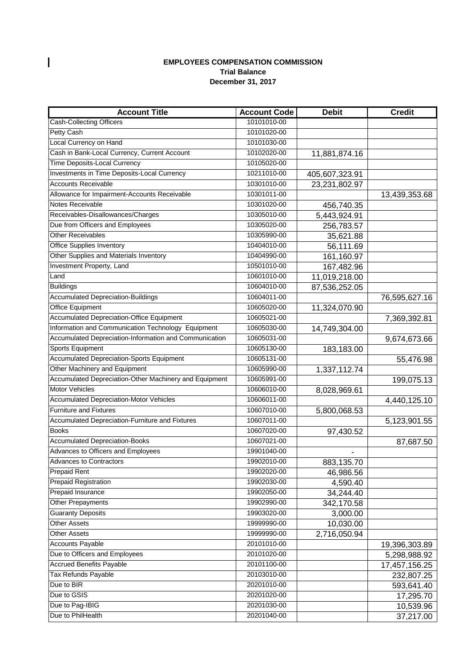## **EMPLOYEES COMPENSATION COMMISSION December 31, 2017 Trial Balance**

| <b>Account Title</b>                                   | <b>Account Code</b> | <b>Debit</b>   | <b>Credit</b> |
|--------------------------------------------------------|---------------------|----------------|---------------|
| Cash-Collecting Officers                               | 10101010-00         |                |               |
| Petty Cash                                             | 10101020-00         |                |               |
| Local Currency on Hand                                 | 10101030-00         |                |               |
| Cash in Bank-Local Currency, Current Account           | 10102020-00         | 11,881,874.16  |               |
| Time Deposits-Local Currency                           | 10105020-00         |                |               |
| Investments in Time Deposits-Local Currency            | 10211010-00         | 405,607,323.91 |               |
| Accounts Receivable                                    | 10301010-00         | 23,231,802.97  |               |
| Allowance for Impairment-Accounts Receivable           | 10301011-00         |                | 13,439,353.68 |
| Notes Receivable                                       | 10301020-00         | 456,740.35     |               |
| Receivables-Disallowances/Charges                      | 10305010-00         | 5,443,924.91   |               |
| Due from Officers and Employees                        | 10305020-00         | 256,783.57     |               |
| <b>Other Receivables</b>                               | 10305990-00         | 35,621.88      |               |
| <b>Office Supplies Inventory</b>                       | 10404010-00         | 56,111.69      |               |
| Other Supplies and Materials Inventory                 | 10404990-00         | 161,160.97     |               |
| Investment Property, Land                              | 10501010-00         | 167,482.96     |               |
| Land                                                   | 10601010-00         | 11,019,218.00  |               |
| <b>Buildings</b>                                       | 10604010-00         | 87,536,252.05  |               |
| Accumulated Depreciation-Buildings                     | 10604011-00         |                | 76,595,627.16 |
| Office Equipment                                       | 10605020-00         | 11,324,070.90  |               |
| Accumulated Depreciation-Office Equipment              | 10605021-00         |                | 7,369,392.81  |
| Information and Communication Technology Equipment     | 10605030-00         | 14,749,304.00  |               |
| Accumulated Depreciation-Information and Communication | 10605031-00         |                | 9,674,673.66  |
| <b>Sports Equipment</b>                                | 10605130-00         | 183,183.00     |               |
| Accumulated Depreciation-Sports Equipment              | 10605131-00         |                | 55,476.98     |
| Other Machinery and Equipment                          | 10605990-00         | 1,337,112.74   |               |
| Accumulated Depreciation-Other Machinery and Equipment | 10605991-00         |                | 199,075.13    |
| Motor Vehicles                                         | 10606010-00         | 8,028,969.61   |               |
| Accumulated Depreciation-Motor Vehicles                | 10606011-00         |                | 4,440,125.10  |
| <b>Furniture and Fixtures</b>                          | 10607010-00         | 5,800,068.53   |               |
| Accumulated Depreciation-Furniture and Fixtures        | 10607011-00         |                | 5,123,901.55  |
| <b>Books</b>                                           | 10607020-00         | 97,430.52      |               |
| <b>Accumulated Depreciation-Books</b>                  | 10607021-00         |                | 87,687.50     |
| Advances to Officers and Employees                     | 19901040-00         |                |               |
| Advances to Contractors                                | 19902010-00         | 883,135.70     |               |
| <b>Prepaid Rent</b>                                    | 19902020-00         | 46,986.56      |               |
| <b>Prepaid Registration</b>                            | 19902030-00         | 4,590.40       |               |
| Prepaid Insurance                                      | 19902050-00         | 34,244.40      |               |
| Other Prepayments                                      | 19902990-00         | 342,170.58     |               |
| <b>Guaranty Deposits</b>                               | 19903020-00         | 3,000.00       |               |
| <b>Other Assets</b>                                    | 19999990-00         | 10,030.00      |               |
| <b>Other Assets</b>                                    | 19999990-00         | 2,716,050.94   |               |
| <b>Accounts Payable</b>                                | 20101010-00         |                | 19,396,303.89 |
| Due to Officers and Employees                          | 20101020-00         |                | 5,298,988.92  |
| <b>Accrued Benefits Payable</b>                        | 20101100-00         |                | 17,457,156.25 |
| Tax Refunds Payable                                    | 20103010-00         |                | 232,807.25    |
| Due to BIR                                             | 20201010-00         |                | 593,641.40    |
| Due to GSIS                                            | 20201020-00         |                | 17,295.70     |
| Due to Pag-IBIG                                        | 20201030-00         |                | 10,539.96     |
| Due to PhilHealth                                      | 20201040-00         |                | 37,217.00     |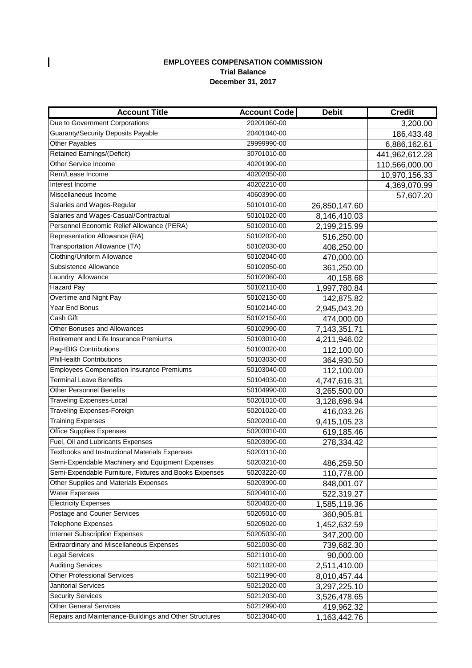## **EMPLOYEES COMPENSATION COMMISSION December 31, 2017 Trial Balance**

 $\overline{\phantom{a}}$ 

| <b>Account Title</b>                                   | <b>Account Code</b> | <b>Debit</b>  | <b>Credit</b>  |
|--------------------------------------------------------|---------------------|---------------|----------------|
| Due to Government Corporations                         | 20201060-00         |               | 3,200.00       |
| <b>Guaranty/Security Deposits Payable</b>              | 20401040-00         |               | 186,433.48     |
| Other Payables                                         | 29999990-00         |               | 6,886,162.61   |
| <b>Retained Earnings/(Deficit)</b>                     | 30701010-00         |               | 441,962,612.28 |
| Other Service Income                                   | 40201990-00         |               | 110,566,000.00 |
| Rent/Lease Income                                      | 40202050-00         |               | 10,970,156.33  |
| Interest Income                                        | 40202210-00         |               | 4,369,070.99   |
| Miscellaneous Income                                   | 40603990-00         |               | 57,607.20      |
| Salaries and Wages-Regular                             | 50101010-00         | 26,850,147.60 |                |
| Salaries and Wages-Casual/Contractual                  | 50101020-00         | 8,146,410.03  |                |
| Personnel Economic Relief Allowance (PERA)             | 50102010-00         | 2,199,215.99  |                |
| Representation Allowance (RA)                          | 50102020-00         | 516,250.00    |                |
| Transportation Allowance (TA)                          | 50102030-00         | 408,250.00    |                |
| Clothing/Uniform Allowance                             | 50102040-00         | 470,000.00    |                |
| Subsistence Allowance                                  | 50102050-00         | 361,250.00    |                |
| Laundry Allowance                                      | 50102060-00         | 40,158.68     |                |
| <b>Hazard Pay</b>                                      | 50102110-00         | 1,997,780.84  |                |
| Overtime and Night Pay                                 | 50102130-00         | 142,875.82    |                |
| Year End Bonus                                         | 50102140-00         | 2,945,043.20  |                |
| Cash Gift                                              | 50102150-00         | 474,000.00    |                |
| <b>Other Bonuses and Allowances</b>                    | 50102990-00         | 7,143,351.71  |                |
| Retirement and Life Insurance Premiums                 | 50103010-00         | 4,211,946.02  |                |
| Pag-IBIG Contributions                                 | 50103020-00         | 112,100.00    |                |
| <b>PhilHealth Contributions</b>                        | 50103030-00         | 364,930.50    |                |
| <b>Employees Compensation Insurance Premiums</b>       | 50103040-00         | 112,100.00    |                |
| <b>Terminal Leave Benefits</b>                         | 50104030-00         | 4,747,616.31  |                |
| <b>Other Personnel Benefits</b>                        | 50104990-00         | 3,265,500.00  |                |
| <b>Traveling Expenses-Local</b>                        | 50201010-00         | 3,128,696.94  |                |
| <b>Traveling Expenses-Foreign</b>                      | 50201020-00         | 416,033.26    |                |
| <b>Training Expenses</b>                               | 50202010-00         | 9,415,105.23  |                |
| <b>Office Supplies Expenses</b>                        | 50203010-00         | 619,185.46    |                |
| Fuel, Oil and Lubricants Expenses                      | 50203090-00         | 278,334.42    |                |
| Textbooks and Instructional Materials Expenses         | 50203110-00         |               |                |
| Semi-Expendable Machinery and Equipment Expenses       | 50203210-00         | 486,259.50    |                |
| Semi-Expendable Furniture, Fixtures and Books Expenses | 50203220-00         | 110,778.00    |                |
| Other Supplies and Materials Expenses                  | 50203990-00         | 848,001.07    |                |
| <b>Water Expenses</b>                                  | 50204010-00         | 522,319.27    |                |
| <b>Electricity Expenses</b>                            | 50204020-00         | 1,585,119.36  |                |
| Postage and Courier Services                           | 50205010-00         | 360,905.81    |                |
| <b>Telephone Expenses</b>                              | 50205020-00         | 1,452,632.59  |                |
| <b>Internet Subscription Expenses</b>                  | 50205030-00         | 347,200.00    |                |
| <b>Extraordinary and Miscellaneous Expenses</b>        | 50210030-00         | 739,682.30    |                |
| <b>Legal Services</b>                                  | 50211010-00         | 90,000.00     |                |
| Auditing Services                                      | 50211020-00         | 2,511,410.00  |                |
| <b>Other Professional Services</b>                     | 50211990-00         | 8,010,457.44  |                |
| <b>Janitorial Services</b>                             | 50212020-00         | 3,297,225.10  |                |
| <b>Security Services</b>                               | 50212030-00         | 3,526,478.65  |                |
| <b>Other General Services</b>                          | 50212990-00         | 419,962.32    |                |
| Repairs and Maintenance-Buildings and Other Structures | 50213040-00         | 1,163,442.76  |                |